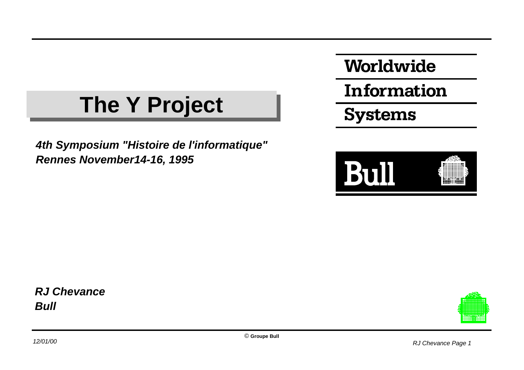#### **The Y Project The Y Project**

*4th Symposium "Histoire de l'informatique" Rennes November14-16, 1995*

Worldwide

Information

**Systems** 



*RJ Chevance Bull*

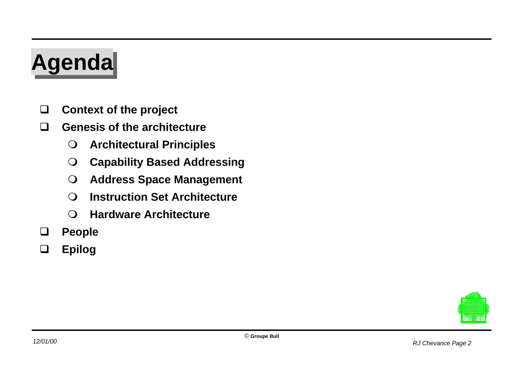# **Agenda Agenda**

- **Context of the project**
- **Genesis of the architecture**
	- $\Omega$ **Architectural Principles**
	- $\bigcirc$ **Capability Based Addressing**
	- $\bigcirc$ **Address Space Management**
	- $\Omega$ **Instruction Set Architecture**
	- $\Omega$ **Hardware Architecture**
- **People**
- **Epilog**

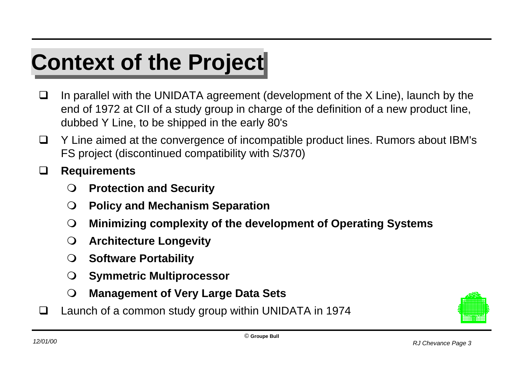## **Context of the Project**

- $\Box$  In parallel with the UNIDATA agreement (development of the X Line), launch by the end of 1972 at CII of a study group in charge of the definition of a new product line, dubbed Y Line, to be shipped in the early 80's
- $\Box$  Y Line aimed at the convergence of incompatible product lines. Rumors about IBM's FS project (discontinued compatibility with S/370)
- **Requirements**
	- $\Omega$ **Protection and Security**
	- $\Omega$ **Policy and Mechanism Separation**
	- $\bigcirc$ **Minimizing complexity of the development of Operating Systems**
	- $\Omega$ **Architecture Longevity**
	- $\Omega$ **Software Portability**
	- $\Omega$ **Symmetric Multiprocessor**
	- $\bigcirc$ **Management of Very Large Data Sets**
- Launch of a common study group within UNIDATA in 1974

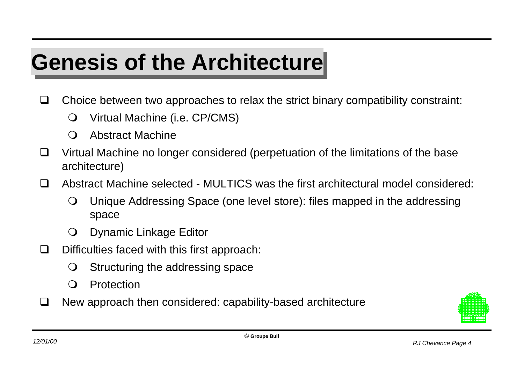## **Genesis of the Architecture**

- $\Box$  Choice between two approaches to relax the strict binary compatibility constraint:
	- $\Omega$ Virtual Machine (i.e. CP/CMS)
	- $\Omega$ Abstract Machine
- $\Box$  Virtual Machine no longer considered (perpetuation of the limitations of the base architecture)
- Abstract Machine selected MULTICS was the first architectural model considered:
	- $\Omega$  Unique Addressing Space (one level store): files mapped in the addressing space
	- $\Omega$ Dynamic Linkage Editor
- $\Box$  Difficulties faced with this first approach:
	- $\Omega$ Structuring the addressing space
	- $\Omega$ Protection
- $\Box$  New approach then considered: capability-based architecture

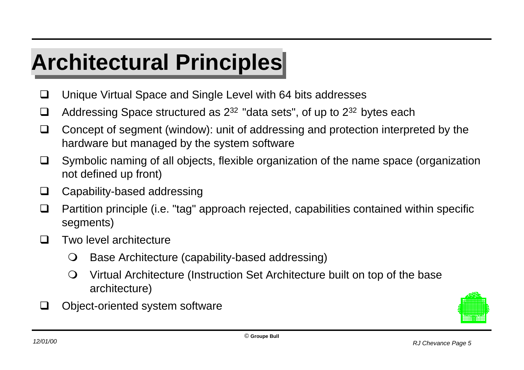## **Architectural Principles Architectural Principles**

- □ Unique Virtual Space and Single Level with 64 bits addresses
- $\Box$  Addressing Space structured as  $2^{32}$  "data sets", of up to  $2^{32}$  bytes each
- $\Box$  Concept of segment (window): unit of addressing and protection interpreted by the hardware but managed by the system software
- $\Box$  Symbolic naming of all objects, flexible organization of the name space (organization not defined up front)
- □ Capability-based addressing
- $\Box$  Partition principle (i.e. "tag" approach rejected, capabilities contained within specific segments)
- $\Box$  Two level architecture
	- $\Omega$ Base Architecture (capability-based addressing)
	- $\Omega$  Virtual Architecture (Instruction Set Architecture built on top of the base architecture)
- $\Box$  Object-oriented system software

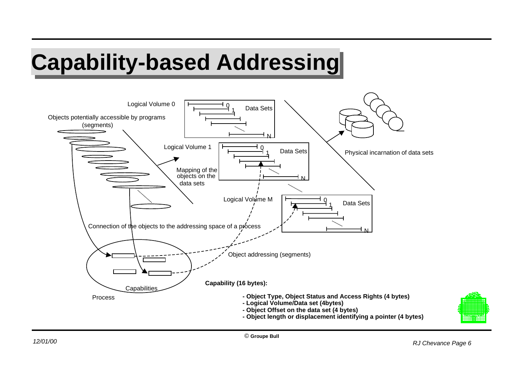## **Capability-based Addressing Capability-based Addressing**

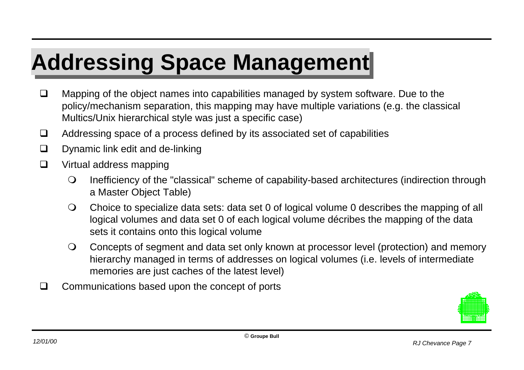## **Addressing Space Management Addressing Space Management**

- $\Box$  Mapping of the object names into capabilities managed by system software. Due to the policy/mechanism separation, this mapping may have multiple variations (e.g. the classical Multics/Unix hierarchical style was just a specific case)
- $\Box$  Addressing space of a process defined by its associated set of capabilities
- $\Box$  Dynamic link edit and de-linking
- $\Box$  Virtual address mapping
	- $\bigcirc$  Inefficiency of the "classical" scheme of capability-based architectures (indirection through a Master Object Table)
	- $\Omega$  Choice to specialize data sets: data set 0 of logical volume 0 describes the mapping of all logical volumes and data set 0 of each logical volume décribes the mapping of the data sets it contains onto this logical volume
	- $\bigcirc$  Concepts of segment and data set only known at processor level (protection) and memory hierarchy managed in terms of addresses on logical volumes (i.e. levels of intermediate memories are just caches of the latest level)
- $\Box$  Communications based upon the concept of ports

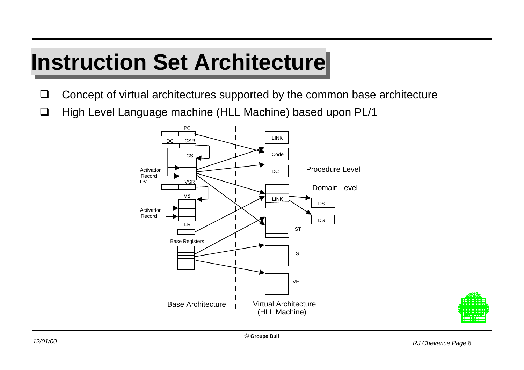#### **Instruction Set Architecture**

- $\Box$  Concept of virtual architectures supported by the common base architecture
- □ High Level Language machine (HLL Machine) based upon PL/1



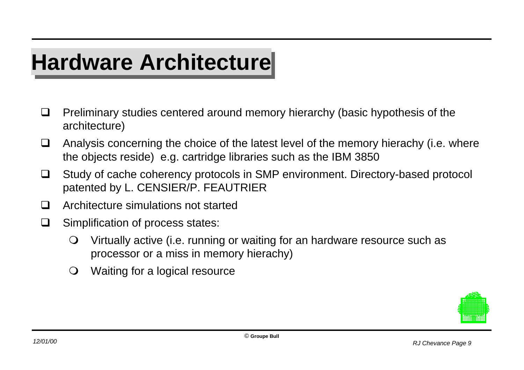## **Hardware Architecture**

- $\Box$  Preliminary studies centered around memory hierarchy (basic hypothesis of the architecture)
- $\Box$  Analysis concerning the choice of the latest level of the memory hierachy (i.e. where the objects reside) e.g. cartridge libraries such as the IBM 3850
- □ Study of cache coherency protocols in SMP environment. Directory-based protocol patented by L. CENSIER/P. FEAUTRIER
- $\Box$  Architecture simulations not started
- $\Box$  Simplification of process states:
	- $\bigcirc$  Virtually active (i.e. running or waiting for an hardware resource such as processor or a miss in memory hierachy)
	- $\Omega$ Waiting for a logical resource

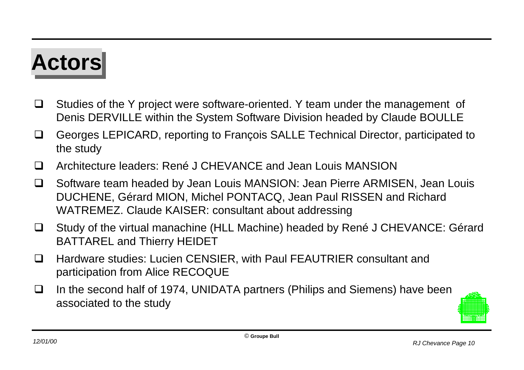## **Actors Actors**

- $\Box$  Studies of the Y project were software-oriented. Y team under the management of Denis DERVILLE within the System Software Division headed by Claude BOULLE
- □ Georges LEPICARD, reporting to François SALLE Technical Director, participated to the study
- Architecture leaders: René J CHEVANCE and Jean Louis MANSION
- □ Software team headed by Jean Louis MANSION: Jean Pierre ARMISEN, Jean Louis DUCHENE, Gérard MION, Michel PONTACQ, Jean Paul RISSEN and Richard WATREMEZ. Claude KAISER: consultant about addressing
- □ Study of the virtual manachine (HLL Machine) headed by René J CHEVANCE: Gérard BATTAREL and Thierry HEIDET
- □ Hardware studies: Lucien CENSIER, with Paul FEAUTRIER consultant and participation from Alice RECOQUE
- $\Box$  In the second half of 1974, UNIDATA partners (Philips and Siemens) have been associated to the study